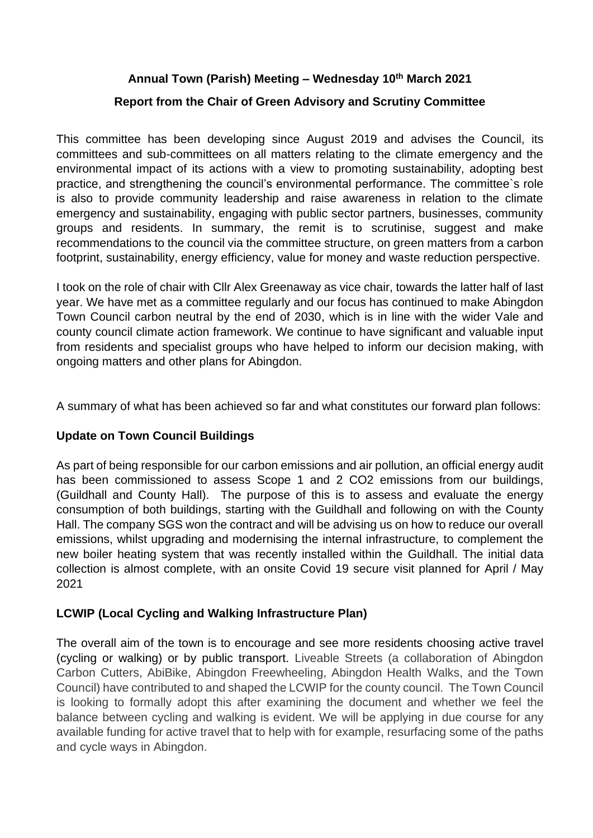## **Annual Town (Parish) Meeting – Wednesday 10th March 2021**

## **Report from the Chair of Green Advisory and Scrutiny Committee**

This committee has been developing since August 2019 and advises the Council, its committees and sub-committees on all matters relating to the climate emergency and the environmental impact of its actions with a view to promoting sustainability, adopting best practice, and strengthening the council's environmental performance. The committee`s role is also to provide community leadership and raise awareness in relation to the climate emergency and sustainability, engaging with public sector partners, businesses, community groups and residents. In summary, the remit is to scrutinise, suggest and make recommendations to the council via the committee structure, on green matters from a carbon footprint, sustainability, energy efficiency, value for money and waste reduction perspective.

I took on the role of chair with Cllr Alex Greenaway as vice chair, towards the latter half of last year. We have met as a committee regularly and our focus has continued to make Abingdon Town Council carbon neutral by the end of 2030, which is in line with the wider Vale and county council climate action framework. We continue to have significant and valuable input from residents and specialist groups who have helped to inform our decision making, with ongoing matters and other plans for Abingdon.

A summary of what has been achieved so far and what constitutes our forward plan follows:

## **Update on Town Council Buildings**

As part of being responsible for our carbon emissions and air pollution, an official energy audit has been commissioned to assess Scope 1 and 2 CO2 emissions from our buildings, (Guildhall and County Hall). The purpose of this is to assess and evaluate the energy consumption of both buildings, starting with the Guildhall and following on with the County Hall. The company SGS won the contract and will be advising us on how to reduce our overall emissions, whilst upgrading and modernising the internal infrastructure, to complement the new boiler heating system that was recently installed within the Guildhall. The initial data collection is almost complete, with an onsite Covid 19 secure visit planned for April / May 2021

## **LCWIP (Local Cycling and Walking Infrastructure Plan)**

The overall aim of the town is to encourage and see more residents choosing active travel (cycling or walking) or by public transport. Liveable Streets (a collaboration of Abingdon Carbon Cutters, AbiBike, Abingdon Freewheeling, Abingdon Health Walks, and the Town Council) have contributed to and shaped the LCWIP for the county council. The Town Council is looking to formally adopt this after examining the document and whether we feel the balance between cycling and walking is evident. We will be applying in due course for any available funding for active travel that to help with for example, resurfacing some of the paths and cycle ways in Abingdon.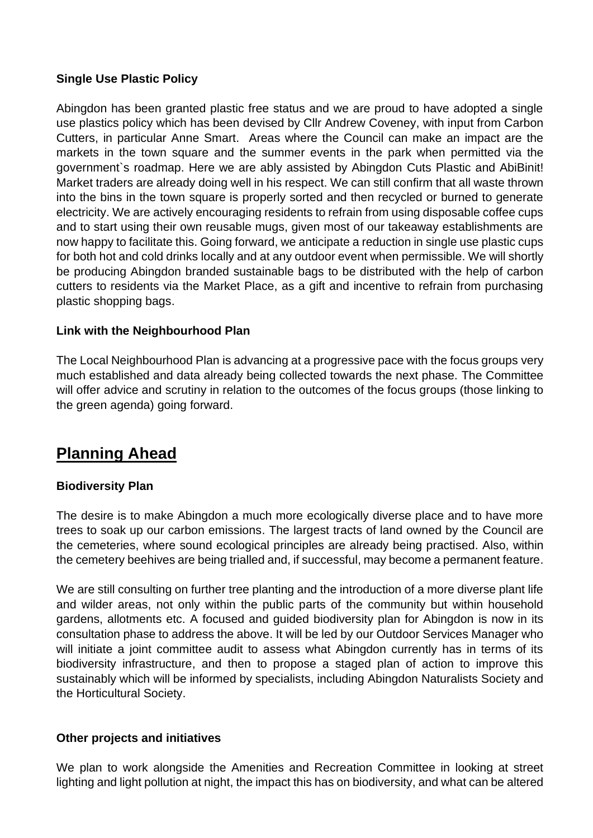### **Single Use Plastic Policy**

Abingdon has been granted plastic free status and we are proud to have adopted a single use plastics policy which has been devised by Cllr Andrew Coveney, with input from Carbon Cutters, in particular Anne Smart. Areas where the Council can make an impact are the markets in the town square and the summer events in the park when permitted via the government`s roadmap. Here we are ably assisted by Abingdon Cuts Plastic and AbiBinit! Market traders are already doing well in his respect. We can still confirm that all waste thrown into the bins in the town square is properly sorted and then recycled or burned to generate electricity. We are actively encouraging residents to refrain from using disposable coffee cups and to start using their own reusable mugs, given most of our takeaway establishments are now happy to facilitate this. Going forward, we anticipate a reduction in single use plastic cups for both hot and cold drinks locally and at any outdoor event when permissible. We will shortly be producing Abingdon branded sustainable bags to be distributed with the help of carbon cutters to residents via the Market Place, as a gift and incentive to refrain from purchasing plastic shopping bags.

### **Link with the Neighbourhood Plan**

The Local Neighbourhood Plan is advancing at a progressive pace with the focus groups very much established and data already being collected towards the next phase. The Committee will offer advice and scrutiny in relation to the outcomes of the focus groups (those linking to the green agenda) going forward.

# **Planning Ahead**

#### **Biodiversity Plan**

The desire is to make Abingdon a much more ecologically diverse place and to have more trees to soak up our carbon emissions. The largest tracts of land owned by the Council are the cemeteries, where sound ecological principles are already being practised. Also, within the cemetery beehives are being trialled and, if successful, may become a permanent feature.

We are still consulting on further tree planting and the introduction of a more diverse plant life and wilder areas, not only within the public parts of the community but within household gardens, allotments etc. A focused and guided biodiversity plan for Abingdon is now in its consultation phase to address the above. It will be led by our Outdoor Services Manager who will initiate a joint committee audit to assess what Abingdon currently has in terms of its biodiversity infrastructure, and then to propose a staged plan of action to improve this sustainably which will be informed by specialists, including Abingdon Naturalists Society and the Horticultural Society.

## **Other projects and initiatives**

We plan to work alongside the Amenities and Recreation Committee in looking at street lighting and light pollution at night, the impact this has on biodiversity, and what can be altered